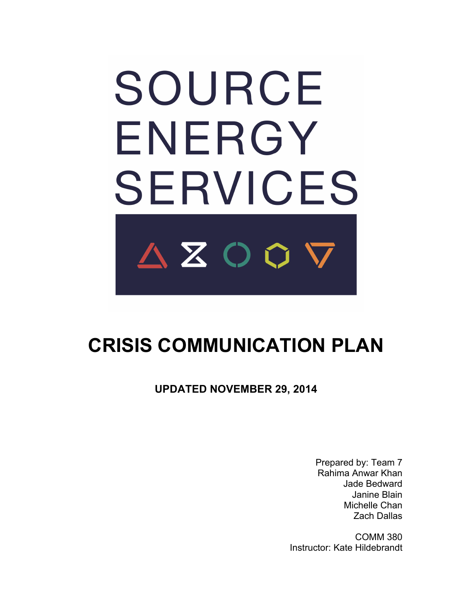# SOURCE ENERGY **SERVICES** AZOOV

# **CRISIS COMMUNICATION PLAN**

**UPDATED NOVEMBER 29, 2014**

Prepared by: Team 7 Rahima Anwar Khan Jade Bedward Janine Blain Michelle Chan Zach Dallas

COMM 380 Instructor: Kate Hildebrandt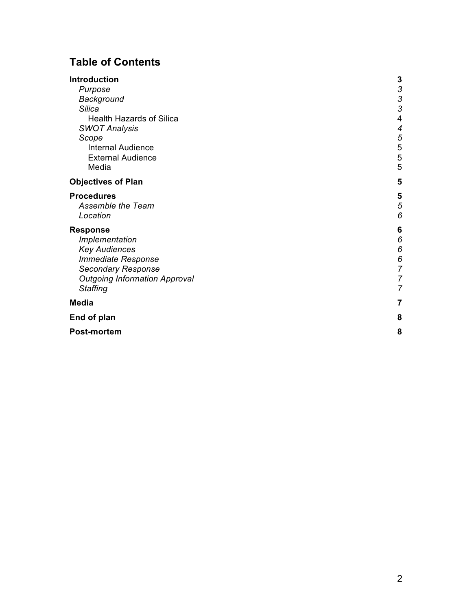# **Table of Contents**

| Introduction                         | 3                                     |
|--------------------------------------|---------------------------------------|
| Purpose                              |                                       |
| Background                           | $\begin{array}{c} 3 \\ 3 \end{array}$ |
| <b>Silica</b>                        |                                       |
| <b>Health Hazards of Silica</b>      | 4                                     |
| <b>SWOT Analysis</b>                 | 4                                     |
| Scope                                | 5                                     |
| <b>Internal Audience</b>             | 5                                     |
| <b>External Audience</b>             | 5                                     |
| Media                                | 5                                     |
| <b>Objectives of Plan</b>            | 5                                     |
| <b>Procedures</b>                    | 5                                     |
| Assemble the Team                    | 5                                     |
| Location                             | 6                                     |
| <b>Response</b>                      | 6                                     |
| Implementation                       | 6                                     |
| <b>Key Audiences</b>                 | 6                                     |
| <b>Immediate Response</b>            | 6                                     |
| <b>Secondary Response</b>            | $\overline{7}$                        |
| <b>Outgoing Information Approval</b> | 7                                     |
| <b>Staffing</b>                      | 7                                     |
| <b>Media</b>                         | 7                                     |
| End of plan                          | 8                                     |
| <b>Post-mortem</b>                   | 8                                     |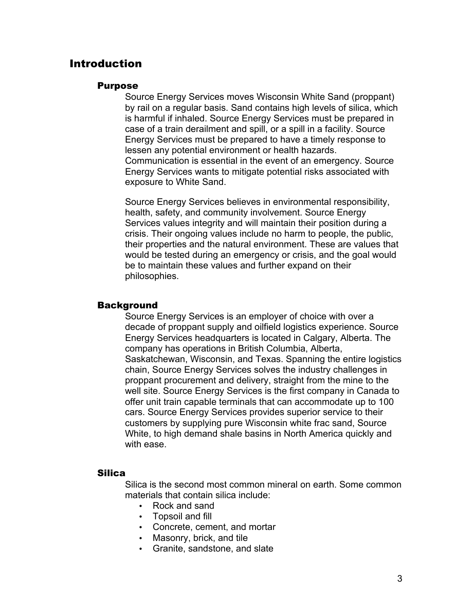# Introduction

#### Purpose

Source Energy Services moves Wisconsin White Sand (proppant) by rail on a regular basis. Sand contains high levels of silica, which is harmful if inhaled. Source Energy Services must be prepared in case of a train derailment and spill, or a spill in a facility. Source Energy Services must be prepared to have a timely response to lessen any potential environment or health hazards. Communication is essential in the event of an emergency. Source Energy Services wants to mitigate potential risks associated with exposure to White Sand.

Source Energy Services believes in environmental responsibility, health, safety, and community involvement. Source Energy Services values integrity and will maintain their position during a crisis. Their ongoing values include no harm to people, the public, their properties and the natural environment. These are values that would be tested during an emergency or crisis, and the goal would be to maintain these values and further expand on their philosophies.

# **Background**

Source Energy Services is an employer of choice with over a decade of proppant supply and oilfield logistics experience. Source Energy Services headquarters is located in Calgary, Alberta. The company has operations in British Columbia, Alberta, Saskatchewan, Wisconsin, and Texas. Spanning the entire logistics chain, Source Energy Services solves the industry challenges in proppant procurement and delivery, straight from the mine to the well site. Source Energy Services is the first company in Canada to offer unit train capable terminals that can accommodate up to 100 cars. Source Energy Services provides superior service to their customers by supplying pure Wisconsin white frac sand, Source White, to high demand shale basins in North America quickly and with ease.

#### Silica

Silica is the second most common mineral on earth. Some common materials that contain silica include:

- Rock and sand
- Topsoil and fill
- Concrete, cement, and mortar
- Masonry, brick, and tile
- Granite, sandstone, and slate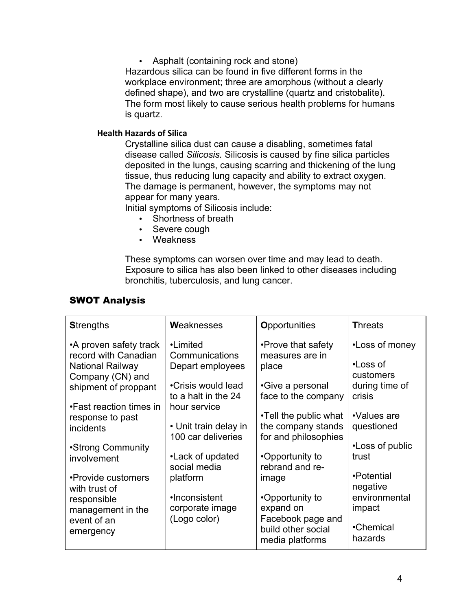• Asphalt (containing rock and stone) Hazardous silica can be found in five different forms in the workplace environment; three are amorphous (without a clearly defined shape), and two are crystalline (quartz and cristobalite). The form most likely to cause serious health problems for humans is quartz.

## **Health Hazards of Silica**

Crystalline silica dust can cause a disabling, sometimes fatal disease called *Silicosis.* Silicosis is caused by fine silica particles deposited in the lungs, causing scarring and thickening of the lung tissue, thus reducing lung capacity and ability to extract oxygen. The damage is permanent, however, the symptoms may not appear for many years.

Initial symptoms of Silicosis include:

- Shortness of breath
- Severe cough
- Weakness

These symptoms can worsen over time and may lead to death. Exposure to silica has also been linked to other diseases including bronchitis, tuberculosis, and lung cancer.

| <b>SWOT Analysis</b> |  |
|----------------------|--|

| <b>Strengths</b>                                                          | Weaknesses                                                  | <b>Opportunities</b>                                                    | <b>Threats</b>                          |
|---------------------------------------------------------------------------|-------------------------------------------------------------|-------------------------------------------------------------------------|-----------------------------------------|
| •A proven safety track<br>record with Canadian<br><b>National Railway</b> | •Limited<br>Communications<br>Depart employees              | •Prove that safety<br>measures are in<br>place                          | •Loss of money<br>•Loss of              |
| Company (CN) and<br>shipment of proppant                                  | •Crisis would lead<br>to a halt in the 24                   | •Give a personal<br>face to the company                                 | customers<br>during time of<br>crisis   |
| •Fast reaction times in<br>response to past<br>incidents                  | hour service<br>• Unit train delay in<br>100 car deliveries | •Tell the public what<br>the company stands<br>for and philosophies     | •Values are<br>questioned               |
| •Strong Community<br>involvement                                          | •Lack of updated<br>social media                            | •Opportunity to<br>rebrand and re-                                      | •Loss of public<br>trust                |
| •Provide customers<br>with trust of<br>responsible                        | platform<br>•Inconsistent                                   | image<br>•Opportunity to                                                | •Potential<br>negative<br>environmental |
| management in the<br>event of an<br>emergency                             | corporate image<br>(Logo color)                             | expand on<br>Facebook page and<br>build other social<br>media platforms | impact<br>•Chemical<br>hazards          |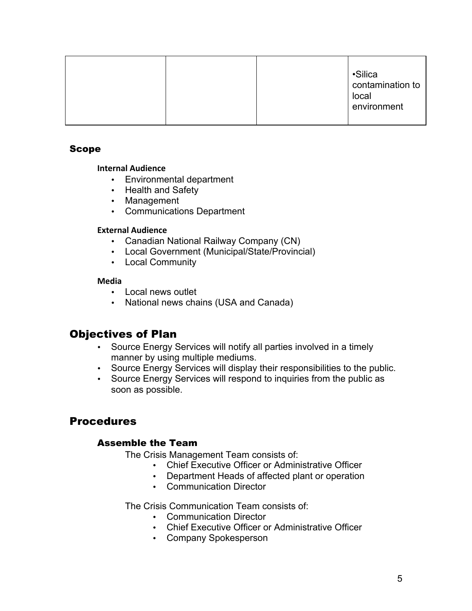|  |  |  | ·Silica<br>contamination to<br>local<br>environment |
|--|--|--|-----------------------------------------------------|
|--|--|--|-----------------------------------------------------|

# Scope

#### **Internal Audience**

- Environmental department
- Health and Safety
- Management
- Communications Department

#### **External Audience**

- Canadian National Railway Company (CN)
- Local Government (Municipal/State/Provincial)
- Local Community

# **Media**

- Local news outlet
- National news chains (USA and Canada)

# Objectives of Plan

- Source Energy Services will notify all parties involved in a timely manner by using multiple mediums.
- Source Energy Services will display their responsibilities to the public.
- Source Energy Services will respond to inquiries from the public as soon as possible.

# Procedures

# Assemble the Team

The Crisis Management Team consists of:

- Chief Executive Officer or Administrative Officer
- Department Heads of affected plant or operation
- Communication Director

The Crisis Communication Team consists of:

- Communication Director
- Chief Executive Officer or Administrative Officer
- Company Spokesperson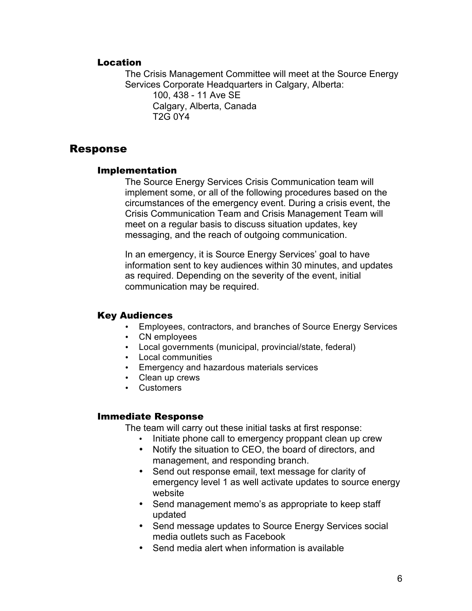# Location

The Crisis Management Committee will meet at the Source Energy Services Corporate Headquarters in Calgary, Alberta: 100, 438 - 11 Ave SE Calgary, Alberta, Canada T2G 0Y4

Response

# Implementation

The Source Energy Services Crisis Communication team will implement some, or all of the following procedures based on the circumstances of the emergency event. During a crisis event, the Crisis Communication Team and Crisis Management Team will meet on a regular basis to discuss situation updates, key messaging, and the reach of outgoing communication.

In an emergency, it is Source Energy Services' goal to have information sent to key audiences within 30 minutes, and updates as required. Depending on the severity of the event, initial communication may be required.

# Key Audiences

- Employees, contractors, and branches of Source Energy Services
- CN employees
- Local governments (municipal, provincial/state, federal)
- Local communities
- Emergency and hazardous materials services
- Clean up crews
- Customers

#### Immediate Response

The team will carry out these initial tasks at first response:

- Initiate phone call to emergency proppant clean up crew
- Notify the situation to CEO, the board of directors, and management, and responding branch.
- Send out response email, text message for clarity of emergency level 1 as well activate updates to source energy website
- Send management memo's as appropriate to keep staff updated
- Send message updates to Source Energy Services social media outlets such as Facebook
- Send media alert when information is available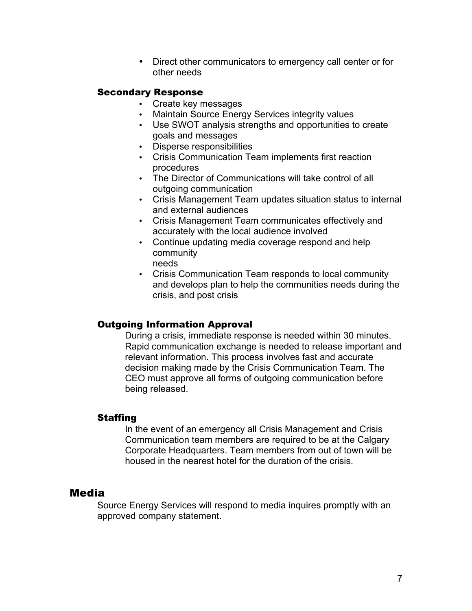• Direct other communicators to emergency call center or for other needs

## Secondary Response

- Create key messages
- Maintain Source Energy Services integrity values
- Use SWOT analysis strengths and opportunities to create goals and messages
- Disperse responsibilities
- Crisis Communication Team implements first reaction procedures
- The Director of Communications will take control of all outgoing communication
- Crisis Management Team updates situation status to internal and external audiences
- Crisis Management Team communicates effectively and accurately with the local audience involved
- Continue updating media coverage respond and help community
	- needs
- Crisis Communication Team responds to local community and develops plan to help the communities needs during the crisis, and post crisis

# Outgoing Information Approval

During a crisis, immediate response is needed within 30 minutes. Rapid communication exchange is needed to release important and relevant information. This process involves fast and accurate decision making made by the Crisis Communication Team. The CEO must approve all forms of outgoing communication before being released.

#### **Staffing**

In the event of an emergency all Crisis Management and Crisis Communication team members are required to be at the Calgary Corporate Headquarters. Team members from out of town will be housed in the nearest hotel for the duration of the crisis.

# Media

Source Energy Services will respond to media inquires promptly with an approved company statement.